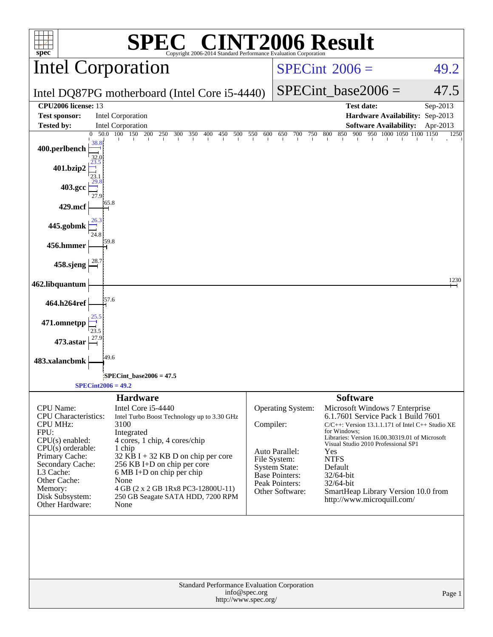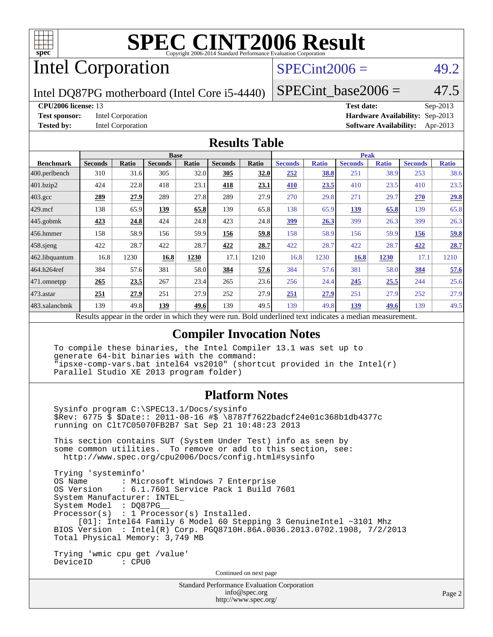

# Intel Corporation

### $SPECint2006 = 49.2$  $SPECint2006 = 49.2$

Intel DQ87PG motherboard (Intel Core i5-4440)

SPECint base2006 =  $47.5$ 

#### **[CPU2006 license:](http://www.spec.org/auto/cpu2006/Docs/result-fields.html#CPU2006license)** 13 **[Test date:](http://www.spec.org/auto/cpu2006/Docs/result-fields.html#Testdate)** Sep-2013

**[Test sponsor:](http://www.spec.org/auto/cpu2006/Docs/result-fields.html#Testsponsor)** Intel Corporation **[Hardware Availability:](http://www.spec.org/auto/cpu2006/Docs/result-fields.html#HardwareAvailability)** Sep-2013 **[Tested by:](http://www.spec.org/auto/cpu2006/Docs/result-fields.html#Testedby)** Intel Corporation **[Software Availability:](http://www.spec.org/auto/cpu2006/Docs/result-fields.html#SoftwareAvailability)** Apr-2013

#### **[Results Table](http://www.spec.org/auto/cpu2006/Docs/result-fields.html#ResultsTable)**

|                                                                                                          | <b>Base</b>    |              |                |              | <b>Peak</b>    |       |                |              |                |              |                |              |
|----------------------------------------------------------------------------------------------------------|----------------|--------------|----------------|--------------|----------------|-------|----------------|--------------|----------------|--------------|----------------|--------------|
| <b>Benchmark</b>                                                                                         | <b>Seconds</b> | <b>Ratio</b> | <b>Seconds</b> | <b>Ratio</b> | <b>Seconds</b> | Ratio | <b>Seconds</b> | <b>Ratio</b> | <b>Seconds</b> | <b>Ratio</b> | <b>Seconds</b> | <b>Ratio</b> |
| 400.perlbench                                                                                            | 310            | 31.6         | 305            | 32.0         | 305            | 32.0  | 252            | <u>38.8</u>  | 251            | 38.9         | 253            | 38.6         |
| 401.bzip2                                                                                                | 424            | 22.8         | 418            | 23.1         | 418            | 23.1  | 410            | 23.5         | 410            | 23.5         | 410            | 23.5         |
| $403.\mathrm{gcc}$                                                                                       | 289            | 27.9         | 289            | 27.8         | 289            | 27.9  | 270            | 29.8         | 271            | 29.7         | 270            | 29.8         |
| $429$ mcf                                                                                                | 138            | 65.9         | 139            | 65.8         | 139            | 65.8  | 138            | 65.9         | 139            | 65.8         | 139            | 65.8         |
| $445$ .gobmk                                                                                             | 423            | 24.8         | 424            | 24.8         | 423            | 24.8  | 399            | 26.3         | 399            | 26.3         | 399            | 26.3         |
| 456.hmmer                                                                                                | 158            | 58.9         | 156            | 59.9         | 156            | 59.8  | 158            | 58.9         | 156            | 59.9         | 156            | <u>59.8</u>  |
| 458.sjeng                                                                                                | 422            | 28.7         | 422            | 28.7         | 422            | 28.7  | 422            | 28.7         | 422            | 28.7         | 422            | 28.7         |
| 462.libquantum                                                                                           | 16.8           | 1230         | 16.8           | 1230         | 17.1           | 1210  | 16.8           | 1230         | 16.8           | 1230         | 17.1           | 1210         |
| 464.h264ref                                                                                              | 384            | 57.6         | 381            | 58.0         | 384            | 57.6  | 384            | 57.6         | 381            | 58.0         | 384            | 57.6         |
| 471.omnetpp                                                                                              | 265            | 23.5         | 267            | 23.4         | 265            | 23.6  | 256            | 24.4         | 245            | 25.5         | 244            | 25.6         |
| $ 473$ . astar                                                                                           | 251            | 27.9         | 251            | 27.9         | 252            | 27.9  | 251            | 27.9         | 251            | 27.9         | 252            | 27.9         |
| 483.xalancbmk                                                                                            | 139            | 49.8         | 139            | 49.6         | 139            | 49.5  | 139            | 49.8         | 139            | 49.6         | 139            | 49.5         |
| Decute ennoye in the order in which they were mun<br>Dold underlined text indicates a madien massurement |                |              |                |              |                |       |                |              |                |              |                |              |

Results appear in the [order in which they were run.](http://www.spec.org/auto/cpu2006/Docs/result-fields.html#RunOrder) Bold underlined text [indicates a median measurement.](http://www.spec.org/auto/cpu2006/Docs/result-fields.html#Median)

### **[Compiler Invocation Notes](http://www.spec.org/auto/cpu2006/Docs/result-fields.html#CompilerInvocationNotes)**

 To compile these binaries, the Intel Compiler 13.1 was set up to generate 64-bit binaries with the command: "ipsxe-comp-vars.bat intel64 vs2010" (shortcut provided in the Intel(r) Parallel Studio XE 2013 program folder)

### **[Platform Notes](http://www.spec.org/auto/cpu2006/Docs/result-fields.html#PlatformNotes)**

 Sysinfo program C:\SPEC13.1/Docs/sysinfo \$Rev: 6775 \$ \$Date:: 2011-08-16 #\$ \8787f7622badcf24e01c368b1db4377c running on Clt7C05070FB2B7 Sat Sep 21 10:48:23 2013

 This section contains SUT (System Under Test) info as seen by some common utilities. To remove or add to this section, see: <http://www.spec.org/cpu2006/Docs/config.html#sysinfo>

 Trying 'systeminfo' : Microsoft Windows 7 Enterprise OS Version : 6.1.7601 Service Pack 1 Build 7601 System Manufacturer: INTEL\_ System Model : DQ87PG\_\_ Processor(s) : 1 Processor(s) Installed. [01]: Intel64 Family 6 Model 60 Stepping 3 GenuineIntel ~3101 Mhz BIOS Version : Intel(R) Corp. PGQ8710H.86A.0036.2013.0702.1908, 7/2/2013 Total Physical Memory: 3,749 MB

 Trying 'wmic cpu get /value' DeviceID : CPU0

Continued on next page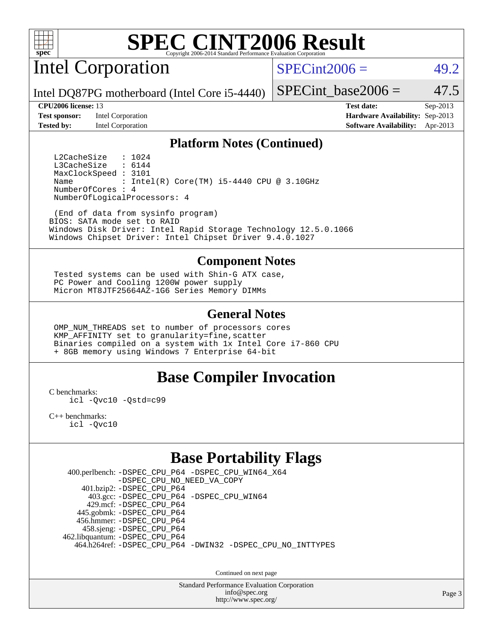

Intel Corporation

 $SPECint2006 = 49.2$  $SPECint2006 = 49.2$ 

Intel DQ87PG motherboard (Intel Core i5-4440)

**[Test sponsor:](http://www.spec.org/auto/cpu2006/Docs/result-fields.html#Testsponsor)** Intel Corporation **[Hardware Availability:](http://www.spec.org/auto/cpu2006/Docs/result-fields.html#HardwareAvailability)** Sep-2013

SPECint base2006 =  $47.5$ 

**[CPU2006 license:](http://www.spec.org/auto/cpu2006/Docs/result-fields.html#CPU2006license)** 13 **[Test date:](http://www.spec.org/auto/cpu2006/Docs/result-fields.html#Testdate)** Sep-2013 **[Tested by:](http://www.spec.org/auto/cpu2006/Docs/result-fields.html#Testedby)** Intel Corporation **[Software Availability:](http://www.spec.org/auto/cpu2006/Docs/result-fields.html#SoftwareAvailability)** Apr-2013

### **[Platform Notes \(Continued\)](http://www.spec.org/auto/cpu2006/Docs/result-fields.html#PlatformNotes)**

L2CacheSize : 1024<br>L3CacheSize : 6144 L3CacheSize MaxClockSpeed : 3101 Name : Intel(R) Core(TM) i5-4440 CPU @ 3.10GHz NumberOfCores : 4 NumberOfLogicalProcessors: 4

 (End of data from sysinfo program) BIOS: SATA mode set to RAID Windows Disk Driver: Intel Rapid Storage Technology 12.5.0.1066 Windows Chipset Driver: Intel Chipset Driver 9.4.0.1027

### **[Component Notes](http://www.spec.org/auto/cpu2006/Docs/result-fields.html#ComponentNotes)**

 Tested systems can be used with Shin-G ATX case, PC Power and Cooling 1200W power supply Micron MT8JTF25664AZ-1G6 Series Memory DIMMs

### **[General Notes](http://www.spec.org/auto/cpu2006/Docs/result-fields.html#GeneralNotes)**

 OMP\_NUM\_THREADS set to number of processors cores KMP\_AFFINITY set to granularity=fine,scatter Binaries compiled on a system with 1x Intel Core i7-860 CPU + 8GB memory using Windows 7 Enterprise 64-bit

### **[Base Compiler Invocation](http://www.spec.org/auto/cpu2006/Docs/result-fields.html#BaseCompilerInvocation)**

[C benchmarks](http://www.spec.org/auto/cpu2006/Docs/result-fields.html#Cbenchmarks):

[icl -Qvc10](http://www.spec.org/cpu2006/results/res2014q3/cpu2006-20140701-30266.flags.html#user_CCbase_intel_icc_vc10_9607f3ecbcdf68042245f068e51b40c1) [-Qstd=c99](http://www.spec.org/cpu2006/results/res2014q3/cpu2006-20140701-30266.flags.html#user_CCbase_intel_compiler_c99_mode_1a3d110e3041b3ad4466830521bdad2a)

[C++ benchmarks:](http://www.spec.org/auto/cpu2006/Docs/result-fields.html#CXXbenchmarks) [icl -Qvc10](http://www.spec.org/cpu2006/results/res2014q3/cpu2006-20140701-30266.flags.html#user_CXXbase_intel_icc_vc10_9607f3ecbcdf68042245f068e51b40c1)

## **[Base Portability Flags](http://www.spec.org/auto/cpu2006/Docs/result-fields.html#BasePortabilityFlags)**

 400.perlbench: [-DSPEC\\_CPU\\_P64](http://www.spec.org/cpu2006/results/res2014q3/cpu2006-20140701-30266.flags.html#b400.perlbench_basePORTABILITY_DSPEC_CPU_P64) [-DSPEC\\_CPU\\_WIN64\\_X64](http://www.spec.org/cpu2006/results/res2014q3/cpu2006-20140701-30266.flags.html#b400.perlbench_baseCPORTABILITY_DSPEC_CPU_WIN64_X64) [-DSPEC\\_CPU\\_NO\\_NEED\\_VA\\_COPY](http://www.spec.org/cpu2006/results/res2014q3/cpu2006-20140701-30266.flags.html#b400.perlbench_baseCPORTABILITY_DSPEC_CPU_NO_NEED_VA_COPY) 401.bzip2: [-DSPEC\\_CPU\\_P64](http://www.spec.org/cpu2006/results/res2014q3/cpu2006-20140701-30266.flags.html#suite_basePORTABILITY401_bzip2_DSPEC_CPU_P64) 403.gcc: [-DSPEC\\_CPU\\_P64](http://www.spec.org/cpu2006/results/res2014q3/cpu2006-20140701-30266.flags.html#suite_basePORTABILITY403_gcc_DSPEC_CPU_P64) [-DSPEC\\_CPU\\_WIN64](http://www.spec.org/cpu2006/results/res2014q3/cpu2006-20140701-30266.flags.html#b403.gcc_baseCPORTABILITY_DSPEC_CPU_WIN64) 429.mcf: [-DSPEC\\_CPU\\_P64](http://www.spec.org/cpu2006/results/res2014q3/cpu2006-20140701-30266.flags.html#suite_basePORTABILITY429_mcf_DSPEC_CPU_P64) 445.gobmk: [-DSPEC\\_CPU\\_P64](http://www.spec.org/cpu2006/results/res2014q3/cpu2006-20140701-30266.flags.html#suite_basePORTABILITY445_gobmk_DSPEC_CPU_P64) 456.hmmer: [-DSPEC\\_CPU\\_P64](http://www.spec.org/cpu2006/results/res2014q3/cpu2006-20140701-30266.flags.html#suite_basePORTABILITY456_hmmer_DSPEC_CPU_P64) 458.sjeng: [-DSPEC\\_CPU\\_P64](http://www.spec.org/cpu2006/results/res2014q3/cpu2006-20140701-30266.flags.html#suite_basePORTABILITY458_sjeng_DSPEC_CPU_P64) 462.libquantum: [-DSPEC\\_CPU\\_P64](http://www.spec.org/cpu2006/results/res2014q3/cpu2006-20140701-30266.flags.html#suite_basePORTABILITY462_libquantum_DSPEC_CPU_P64) 464.h264ref: [-DSPEC\\_CPU\\_P64](http://www.spec.org/cpu2006/results/res2014q3/cpu2006-20140701-30266.flags.html#suite_basePORTABILITY464_h264ref_DSPEC_CPU_P64) [-DWIN32](http://www.spec.org/cpu2006/results/res2014q3/cpu2006-20140701-30266.flags.html#b464.h264ref_baseCPORTABILITY_DWIN32) [-DSPEC\\_CPU\\_NO\\_INTTYPES](http://www.spec.org/cpu2006/results/res2014q3/cpu2006-20140701-30266.flags.html#b464.h264ref_baseCPORTABILITY_DSPEC_CPU_NO_INTTYPES)

Continued on next page

Standard Performance Evaluation Corporation [info@spec.org](mailto:info@spec.org) <http://www.spec.org/>

Page 3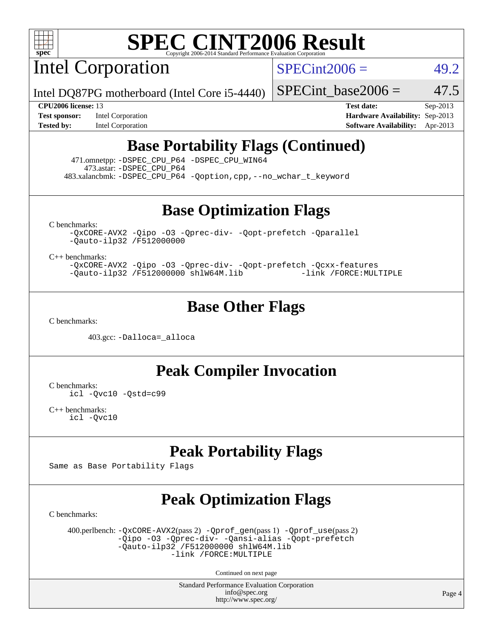

Intel Corporation

 $SPECint2006 = 49.2$  $SPECint2006 = 49.2$ 

Intel DQ87PG motherboard (Intel Core i5-4440)

SPECint base2006 =  $47.5$ 

**[Test sponsor:](http://www.spec.org/auto/cpu2006/Docs/result-fields.html#Testsponsor)** Intel Corporation **[Hardware Availability:](http://www.spec.org/auto/cpu2006/Docs/result-fields.html#HardwareAvailability)** Sep-2013

**[CPU2006 license:](http://www.spec.org/auto/cpu2006/Docs/result-fields.html#CPU2006license)** 13 **[Test date:](http://www.spec.org/auto/cpu2006/Docs/result-fields.html#Testdate)** Sep-2013 **[Tested by:](http://www.spec.org/auto/cpu2006/Docs/result-fields.html#Testedby)** Intel Corporation **[Software Availability:](http://www.spec.org/auto/cpu2006/Docs/result-fields.html#SoftwareAvailability)** Apr-2013

### **[Base Portability Flags \(Continued\)](http://www.spec.org/auto/cpu2006/Docs/result-fields.html#BasePortabilityFlags)**

 471.omnetpp: [-DSPEC\\_CPU\\_P64](http://www.spec.org/cpu2006/results/res2014q3/cpu2006-20140701-30266.flags.html#suite_basePORTABILITY471_omnetpp_DSPEC_CPU_P64) [-DSPEC\\_CPU\\_WIN64](http://www.spec.org/cpu2006/results/res2014q3/cpu2006-20140701-30266.flags.html#b471.omnetpp_baseCXXPORTABILITY_DSPEC_CPU_WIN64) 473.astar: [-DSPEC\\_CPU\\_P64](http://www.spec.org/cpu2006/results/res2014q3/cpu2006-20140701-30266.flags.html#suite_basePORTABILITY473_astar_DSPEC_CPU_P64) 483.xalancbmk: [-DSPEC\\_CPU\\_P64](http://www.spec.org/cpu2006/results/res2014q3/cpu2006-20140701-30266.flags.html#suite_basePORTABILITY483_xalancbmk_DSPEC_CPU_P64) [-Qoption,cpp,--no\\_wchar\\_t\\_keyword](http://www.spec.org/cpu2006/results/res2014q3/cpu2006-20140701-30266.flags.html#user_baseCXXPORTABILITY483_xalancbmk_f-no_wchar_t_keyword_ec0ad4495a16b4e858bfcb29d949d25d)

**[Base Optimization Flags](http://www.spec.org/auto/cpu2006/Docs/result-fields.html#BaseOptimizationFlags)**

[C benchmarks](http://www.spec.org/auto/cpu2006/Docs/result-fields.html#Cbenchmarks):

[-QxCORE-AVX2](http://www.spec.org/cpu2006/results/res2014q3/cpu2006-20140701-30266.flags.html#user_CCbase_f-QxAVX2_f98716b5f9e905f99c943c56f21bf430) [-Qipo](http://www.spec.org/cpu2006/results/res2014q3/cpu2006-20140701-30266.flags.html#user_CCbase_f-Qipo) [-O3](http://www.spec.org/cpu2006/results/res2014q3/cpu2006-20140701-30266.flags.html#user_CCbase_f-O3) [-Qprec-div-](http://www.spec.org/cpu2006/results/res2014q3/cpu2006-20140701-30266.flags.html#user_CCbase_f-Qprec-div-) [-Qopt-prefetch](http://www.spec.org/cpu2006/results/res2014q3/cpu2006-20140701-30266.flags.html#user_CCbase_f-Qprefetch_37c211608666b9dff9380561f602f0a8) [-Qparallel](http://www.spec.org/cpu2006/results/res2014q3/cpu2006-20140701-30266.flags.html#user_CCbase_f-Qparallel) [-Qauto-ilp32](http://www.spec.org/cpu2006/results/res2014q3/cpu2006-20140701-30266.flags.html#user_CCbase_f-Qauto-ilp32) [/F512000000](http://www.spec.org/cpu2006/results/res2014q3/cpu2006-20140701-30266.flags.html#user_CCbase_set_stack_space_98438a10eb60aa5f35f4c79d9b9b27b1)

[C++ benchmarks:](http://www.spec.org/auto/cpu2006/Docs/result-fields.html#CXXbenchmarks)

[-QxCORE-AVX2](http://www.spec.org/cpu2006/results/res2014q3/cpu2006-20140701-30266.flags.html#user_CXXbase_f-QxAVX2_f98716b5f9e905f99c943c56f21bf430) [-Qipo](http://www.spec.org/cpu2006/results/res2014q3/cpu2006-20140701-30266.flags.html#user_CXXbase_f-Qipo) [-O3](http://www.spec.org/cpu2006/results/res2014q3/cpu2006-20140701-30266.flags.html#user_CXXbase_f-O3) [-Qprec-div-](http://www.spec.org/cpu2006/results/res2014q3/cpu2006-20140701-30266.flags.html#user_CXXbase_f-Qprec-div-) [-Qopt-prefetch](http://www.spec.org/cpu2006/results/res2014q3/cpu2006-20140701-30266.flags.html#user_CXXbase_f-Qprefetch_37c211608666b9dff9380561f602f0a8) [-Qcxx-features](http://www.spec.org/cpu2006/results/res2014q3/cpu2006-20140701-30266.flags.html#user_CXXbase_f-Qcxx_features_dbf36c8a6dba956e22f1645e4dcd4d98) [-Qauto-ilp32](http://www.spec.org/cpu2006/results/res2014q3/cpu2006-20140701-30266.flags.html#user_CXXbase_f-Qauto-ilp32) [/F512000000](http://www.spec.org/cpu2006/results/res2014q3/cpu2006-20140701-30266.flags.html#user_CXXbase_set_stack_space_98438a10eb60aa5f35f4c79d9b9b27b1) [shlW64M.lib](http://www.spec.org/cpu2006/results/res2014q3/cpu2006-20140701-30266.flags.html#user_CXXbase_SmartHeap64_c4f7f76711bdf8c0633a5c1edf6e5396) [-link /FORCE:MULTIPLE](http://www.spec.org/cpu2006/results/res2014q3/cpu2006-20140701-30266.flags.html#user_CXXbase_link_force_multiple2_070fe330869edf77077b841074b8b0b6)

### **[Base Other Flags](http://www.spec.org/auto/cpu2006/Docs/result-fields.html#BaseOtherFlags)**

[C benchmarks](http://www.spec.org/auto/cpu2006/Docs/result-fields.html#Cbenchmarks):

403.gcc: [-Dalloca=\\_alloca](http://www.spec.org/cpu2006/results/res2014q3/cpu2006-20140701-30266.flags.html#b403.gcc_baseEXTRA_CFLAGS_Dalloca_be3056838c12de2578596ca5467af7f3)

**[Peak Compiler Invocation](http://www.spec.org/auto/cpu2006/Docs/result-fields.html#PeakCompilerInvocation)**

[C benchmarks](http://www.spec.org/auto/cpu2006/Docs/result-fields.html#Cbenchmarks): [icl -Qvc10](http://www.spec.org/cpu2006/results/res2014q3/cpu2006-20140701-30266.flags.html#user_CCpeak_intel_icc_vc10_9607f3ecbcdf68042245f068e51b40c1) [-Qstd=c99](http://www.spec.org/cpu2006/results/res2014q3/cpu2006-20140701-30266.flags.html#user_CCpeak_intel_compiler_c99_mode_1a3d110e3041b3ad4466830521bdad2a)

[C++ benchmarks:](http://www.spec.org/auto/cpu2006/Docs/result-fields.html#CXXbenchmarks) [icl -Qvc10](http://www.spec.org/cpu2006/results/res2014q3/cpu2006-20140701-30266.flags.html#user_CXXpeak_intel_icc_vc10_9607f3ecbcdf68042245f068e51b40c1)

## **[Peak Portability Flags](http://www.spec.org/auto/cpu2006/Docs/result-fields.html#PeakPortabilityFlags)**

Same as Base Portability Flags

## **[Peak Optimization Flags](http://www.spec.org/auto/cpu2006/Docs/result-fields.html#PeakOptimizationFlags)**

[C benchmarks](http://www.spec.org/auto/cpu2006/Docs/result-fields.html#Cbenchmarks):

 400.perlbench: [-QxCORE-AVX2](http://www.spec.org/cpu2006/results/res2014q3/cpu2006-20140701-30266.flags.html#user_peakPASS2_CFLAGSPASS2_LDFLAGS400_perlbench_f-QxAVX2_f98716b5f9e905f99c943c56f21bf430)(pass 2) [-Qprof\\_gen](http://www.spec.org/cpu2006/results/res2014q3/cpu2006-20140701-30266.flags.html#user_peakPASS1_CFLAGSPASS1_LDFLAGS400_perlbench_Qprof_gen)(pass 1) [-Qprof\\_use](http://www.spec.org/cpu2006/results/res2014q3/cpu2006-20140701-30266.flags.html#user_peakPASS2_CFLAGSPASS2_LDFLAGS400_perlbench_Qprof_use)(pass 2) [-Qipo](http://www.spec.org/cpu2006/results/res2014q3/cpu2006-20140701-30266.flags.html#user_peakOPTIMIZE400_perlbench_f-Qipo) [-O3](http://www.spec.org/cpu2006/results/res2014q3/cpu2006-20140701-30266.flags.html#user_peakOPTIMIZE400_perlbench_f-O3) [-Qprec-div-](http://www.spec.org/cpu2006/results/res2014q3/cpu2006-20140701-30266.flags.html#user_peakOPTIMIZE400_perlbench_f-Qprec-div-) [-Qansi-alias](http://www.spec.org/cpu2006/results/res2014q3/cpu2006-20140701-30266.flags.html#user_peakOPTIMIZE400_perlbench_f-Qansi-alias) [-Qopt-prefetch](http://www.spec.org/cpu2006/results/res2014q3/cpu2006-20140701-30266.flags.html#user_peakOPTIMIZE400_perlbench_f-Qprefetch_37c211608666b9dff9380561f602f0a8)  $-\tilde{Q}$ auto-ilp32 [/F512000000](http://www.spec.org/cpu2006/results/res2014q3/cpu2006-20140701-30266.flags.html#user_peakEXTRA_LDFLAGS400_perlbench_set_stack_space_98438a10eb60aa5f35f4c79d9b9b27b1) [shlW64M.lib](http://www.spec.org/cpu2006/results/res2014q3/cpu2006-20140701-30266.flags.html#user_peakEXTRA_LIBS400_perlbench_SmartHeap64_c4f7f76711bdf8c0633a5c1edf6e5396)  [-link /FORCE:MULTIPLE](http://www.spec.org/cpu2006/results/res2014q3/cpu2006-20140701-30266.flags.html#user_peakLDOUT400_perlbench_link_force_multiple2_070fe330869edf77077b841074b8b0b6)

Continued on next page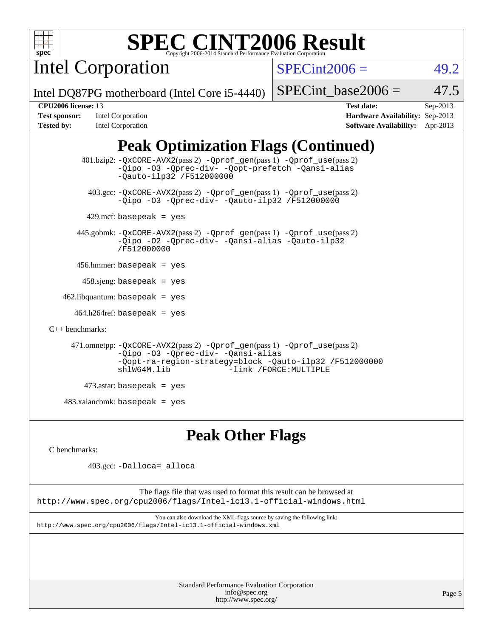

Intel Corporation

 $SPECint2006 = 49.2$  $SPECint2006 = 49.2$ 

Intel DQ87PG motherboard (Intel Core i5-4440)

| <b>Test sponsor:</b> | Intel Corporation |
|----------------------|-------------------|
| Tested by:           | Intel Corporation |

**[CPU2006 license:](http://www.spec.org/auto/cpu2006/Docs/result-fields.html#CPU2006license)** 13 **[Test date:](http://www.spec.org/auto/cpu2006/Docs/result-fields.html#Testdate)** Sep-2013 **[Hardware Availability:](http://www.spec.org/auto/cpu2006/Docs/result-fields.html#HardwareAvailability)** Sep-2013 **[Software Availability:](http://www.spec.org/auto/cpu2006/Docs/result-fields.html#SoftwareAvailability)** Apr-2013

SPECint base2006 =  $47.5$ 

# **[Peak Optimization Flags \(Continued\)](http://www.spec.org/auto/cpu2006/Docs/result-fields.html#PeakOptimizationFlags)**

```
 401.bzip2: -QxCORE-AVX2(pass 2) -Qprof_gen(pass 1) -Qprof_use(pass 2)
                -Qipo -O3 -Qprec-div- -Qopt-prefetch -Qansi-alias
                -Qauto-ilp32 /F512000000
          403.gcc: -QxCORE-AVX2(pass 2) -Qprof_gen(pass 1) -Qprof_use(pass 2)
                -Qipo -O3 -Qprec-div- -Qauto-ilp32 /F512000000
        429.mcf: basepeak = yes
       445.gobmk: -QxCORE-AVX2(pass 2) -Qprof_gen(pass 1) -Qprof_use(pass 2)
                -Qipo -O2 -Qprec-div- -Qansi-alias -Qauto-ilp32
                /F512000000
       456.hmmer: basepeak = yes
       458 \text{.}sjeng: basepeak = yes
   462.libquantum: basepeak = yes
      464.h264ref: basepeak = yes
C++ benchmarks: 
      471.omnetpp: -QxCORE-AVX2(pass 2) -Qprof_gen(pass 1) -Qprof_use(pass 2)
                -Qipo -O3 -Qprec-div- -Qansi-alias
                -Qopt-ra-region-strategy=block -Qauto-ilp32 /F512000000
                                          -link /FORCE: MULTIPLE
         473.astar: basepeak = yes
   483.xalanchmk: basepeak = yes
```
### **[Peak Other Flags](http://www.spec.org/auto/cpu2006/Docs/result-fields.html#PeakOtherFlags)**

[C benchmarks](http://www.spec.org/auto/cpu2006/Docs/result-fields.html#Cbenchmarks):

403.gcc: [-Dalloca=\\_alloca](http://www.spec.org/cpu2006/results/res2014q3/cpu2006-20140701-30266.flags.html#b403.gcc_peakEXTRA_CFLAGS_Dalloca_be3056838c12de2578596ca5467af7f3)

The flags file that was used to format this result can be browsed at <http://www.spec.org/cpu2006/flags/Intel-ic13.1-official-windows.html>

You can also download the XML flags source by saving the following link: <http://www.spec.org/cpu2006/flags/Intel-ic13.1-official-windows.xml>